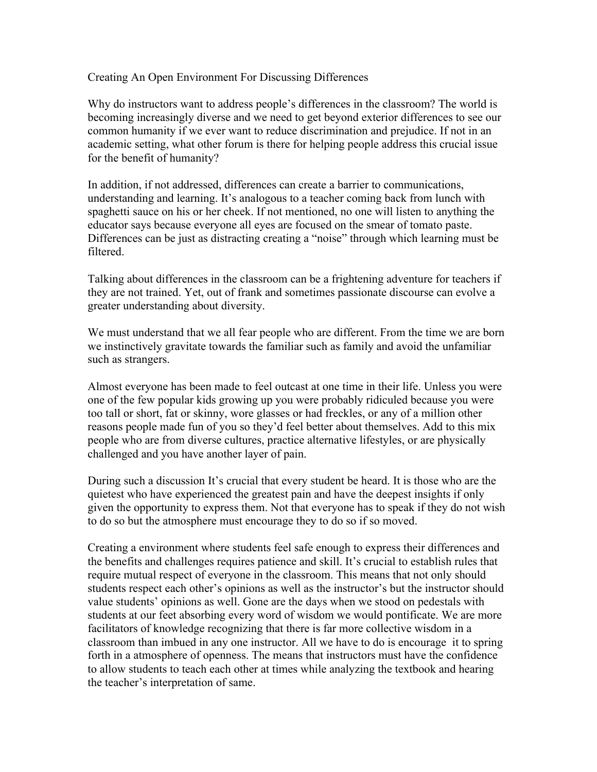## Creating An Open Environment For Discussing Differences

Why do instructors want to address people's differences in the classroom? The world is becoming increasingly diverse and we need to get beyond exterior differences to see our common humanity if we ever want to reduce discrimination and prejudice. If not in an academic setting, what other forum is there for helping people address this crucial issue for the benefit of humanity?

In addition, if not addressed, differences can create a barrier to communications, understanding and learning. It's analogous to a teacher coming back from lunch with spaghetti sauce on his or her cheek. If not mentioned, no one will listen to anything the educator says because everyone all eyes are focused on the smear of tomato paste. Differences can be just as distracting creating a "noise" through which learning must be filtered.

Talking about differences in the classroom can be a frightening adventure for teachers if they are not trained. Yet, out of frank and sometimes passionate discourse can evolve a greater understanding about diversity.

We must understand that we all fear people who are different. From the time we are born we instinctively gravitate towards the familiar such as family and avoid the unfamiliar such as strangers.

Almost everyone has been made to feel outcast at one time in their life. Unless you were one of the few popular kids growing up you were probably ridiculed because you were too tall or short, fat or skinny, wore glasses or had freckles, or any of a million other reasons people made fun of you so they'd feel better about themselves. Add to this mix people who are from diverse cultures, practice alternative lifestyles, or are physically challenged and you have another layer of pain.

During such a discussion It's crucial that every student be heard. It is those who are the quietest who have experienced the greatest pain and have the deepest insights if only given the opportunity to express them. Not that everyone has to speak if they do not wish to do so but the atmosphere must encourage they to do so if so moved.

Creating a environment where students feel safe enough to express their differences and the benefits and challenges requires patience and skill. It's crucial to establish rules that require mutual respect of everyone in the classroom. This means that not only should students respect each other's opinions as well as the instructor's but the instructor should value students' opinions as well. Gone are the days when we stood on pedestals with students at our feet absorbing every word of wisdom we would pontificate. We are more facilitators of knowledge recognizing that there is far more collective wisdom in a classroom than imbued in any one instructor. All we have to do is encourage it to spring forth in a atmosphere of openness. The means that instructors must have the confidence to allow students to teach each other at times while analyzing the textbook and hearing the teacher's interpretation of same.